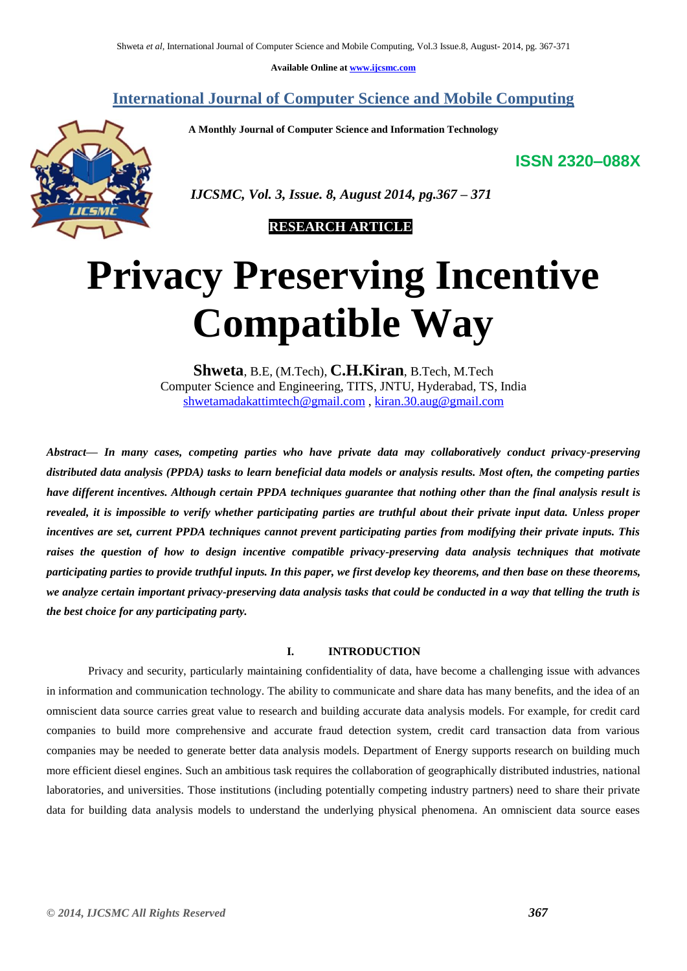**Available Online at www.ijcsmc.com**

# **International Journal of Computer Science and Mobile Computing**

 **A Monthly Journal of Computer Science and Information Technology**

**ISSN 2320–088X**



 *IJCSMC, Vol. 3, Issue. 8, August 2014, pg.367 – 371*



# **Privacy Preserving Incentive Compatible Way**

**Shweta**, B.E, (M.Tech), **C.H.Kiran**, B.Tech, M.Tech Computer Science and Engineering, TITS, JNTU, Hyderabad, TS, India shwetamadakattimtech@gmail.com , kiran.30.aug@gmail.com

*Abstract— In many cases, competing parties who have private data may collaboratively conduct privacy-preserving distributed data analysis (PPDA) tasks to learn beneficial data models or analysis results. Most often, the competing parties have different incentives. Although certain PPDA techniques guarantee that nothing other than the final analysis result is revealed, it is impossible to verify whether participating parties are truthful about their private input data. Unless proper incentives are set, current PPDA techniques cannot prevent participating parties from modifying their private inputs. This*  raises the question of how to design incentive compatible privacy-preserving data analysis techniques that motivate *participating parties to provide truthful inputs. In this paper, we first develop key theorems, and then base on these theorems, we analyze certain important privacy-preserving data analysis tasks that could be conducted in a way that telling the truth is the best choice for any participating party.*

## **I. INTRODUCTION**

Privacy and security, particularly maintaining confidentiality of data, have become a challenging issue with advances in information and communication technology. The ability to communicate and share data has many benefits, and the idea of an omniscient data source carries great value to research and building accurate data analysis models. For example, for credit card companies to build more comprehensive and accurate fraud detection system, credit card transaction data from various companies may be needed to generate better data analysis models. Department of Energy supports research on building much more efficient diesel engines. Such an ambitious task requires the collaboration of geographically distributed industries, national laboratories, and universities. Those institutions (including potentially competing industry partners) need to share their private data for building data analysis models to understand the underlying physical phenomena. An omniscient data source eases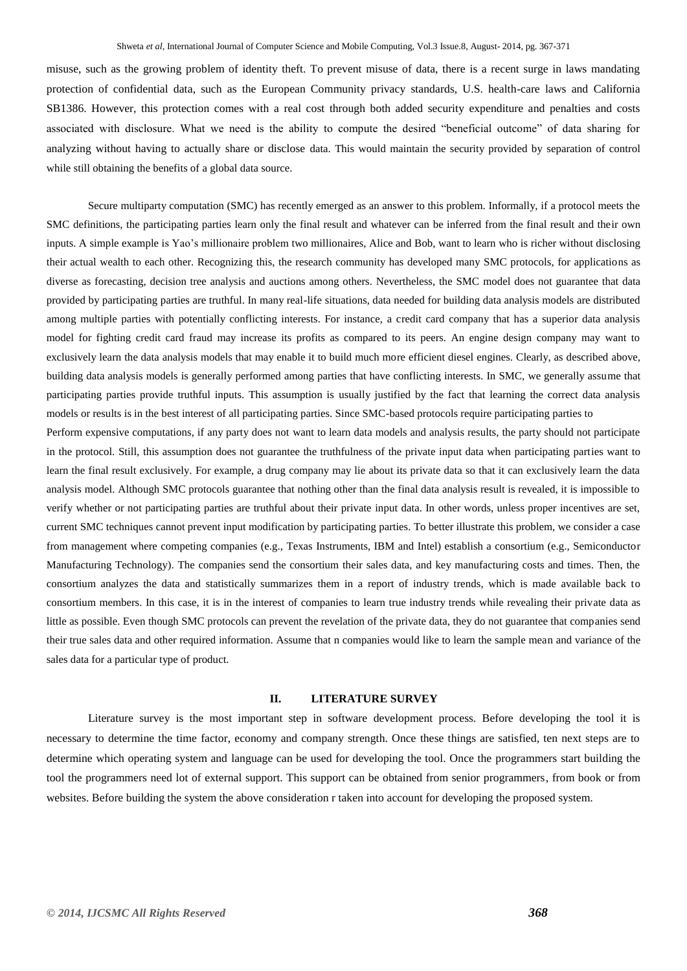misuse, such as the growing problem of identity theft. To prevent misuse of data, there is a recent surge in laws mandating protection of confidential data, such as the European Community privacy standards, U.S. health-care laws and California SB1386. However, this protection comes with a real cost through both added security expenditure and penalties and costs associated with disclosure. What we need is the ability to compute the desired "beneficial outcome" of data sharing for analyzing without having to actually share or disclose data. This would maintain the security provided by separation of control while still obtaining the benefits of a global data source.

Secure multiparty computation (SMC) has recently emerged as an answer to this problem. Informally, if a protocol meets the SMC definitions, the participating parties learn only the final result and whatever can be inferred from the final result and their own inputs. A simple example is Yao's millionaire problem two millionaires, Alice and Bob, want to learn who is richer without disclosing their actual wealth to each other. Recognizing this, the research community has developed many SMC protocols, for applications as diverse as forecasting, decision tree analysis and auctions among others. Nevertheless, the SMC model does not guarantee that data provided by participating parties are truthful. In many real-life situations, data needed for building data analysis models are distributed among multiple parties with potentially conflicting interests. For instance, a credit card company that has a superior data analysis model for fighting credit card fraud may increase its profits as compared to its peers. An engine design company may want to exclusively learn the data analysis models that may enable it to build much more efficient diesel engines. Clearly, as described above, building data analysis models is generally performed among parties that have conflicting interests. In SMC, we generally assume that participating parties provide truthful inputs. This assumption is usually justified by the fact that learning the correct data analysis models or results is in the best interest of all participating parties. Since SMC-based protocols require participating parties to

Perform expensive computations, if any party does not want to learn data models and analysis results, the party should not participate in the protocol. Still, this assumption does not guarantee the truthfulness of the private input data when participating parties want to learn the final result exclusively. For example, a drug company may lie about its private data so that it can exclusively learn the data analysis model. Although SMC protocols guarantee that nothing other than the final data analysis result is revealed, it is impossible to verify whether or not participating parties are truthful about their private input data. In other words, unless proper incentives are set, current SMC techniques cannot prevent input modification by participating parties. To better illustrate this problem, we consider a case from management where competing companies (e.g., Texas Instruments, IBM and Intel) establish a consortium (e.g., Semiconductor Manufacturing Technology). The companies send the consortium their sales data, and key manufacturing costs and times. Then, the consortium analyzes the data and statistically summarizes them in a report of industry trends, which is made available back to consortium members. In this case, it is in the interest of companies to learn true industry trends while revealing their private data as little as possible. Even though SMC protocols can prevent the revelation of the private data, they do not guarantee that companies send their true sales data and other required information. Assume that n companies would like to learn the sample mean and variance of the sales data for a particular type of product.

#### **II. LITERATURE SURVEY**

Literature [survey](http://www.blurtit.com/q876299.html) is the most important step in software development process. Before developing the tool it is necessary to determine the time factor, economy and company strength. Once these things are satisfied, ten next steps are to determine which operating system and language can be used for developing the tool. Once the [programmers](http://www.blurtit.com/q876299.html) start building the tool the programmers need lot of external support. This support can be obtained from senior programmers, from [book](http://www.blurtit.com/q876299.html) or from websites. Before building the system the above consideration r taken into account for developing the proposed system.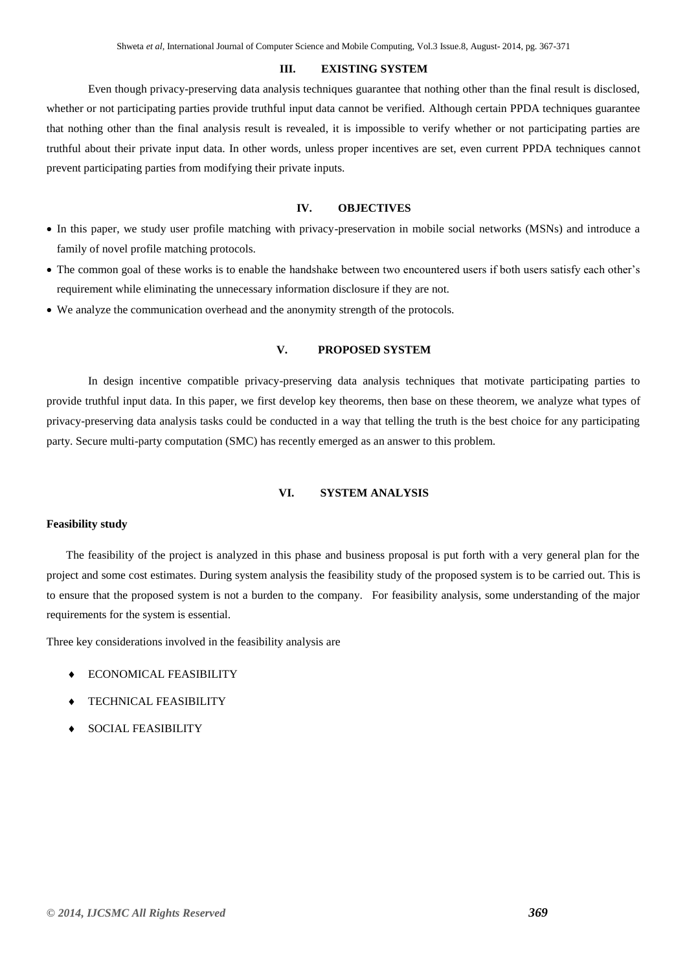## **III. EXISTING SYSTEM**

Even though privacy-preserving data analysis techniques guarantee that nothing other than the final result is disclosed, whether or not participating parties provide truthful input data cannot be verified. Although certain PPDA techniques guarantee that nothing other than the final analysis result is revealed, it is impossible to verify whether or not participating parties are truthful about their private input data. In other words, unless proper incentives are set, even current PPDA techniques cannot prevent participating parties from modifying their private inputs.

#### **IV. OBJECTIVES**

- In this paper, we study user profile matching with privacy-preservation in mobile social networks (MSNs) and introduce a family of novel profile matching protocols.
- The common goal of these works is to enable the handshake between two encountered users if both users satisfy each other's requirement while eliminating the unnecessary information disclosure if they are not.
- We analyze the communication overhead and the anonymity strength of the protocols.

# **V. PROPOSED SYSTEM**

In design incentive compatible privacy-preserving data analysis techniques that motivate participating parties to provide truthful input data. In this paper, we first develop key theorems, then base on these theorem, we analyze what types of privacy-preserving data analysis tasks could be conducted in a way that telling the truth is the best choice for any participating party. Secure multi-party computation (SMC) has recently emerged as an answer to this problem.

#### **VI. SYSTEM ANALYSIS**

#### **Feasibility study**

The feasibility of the project is analyzed in this phase and business proposal is put forth with a very general plan for the project and some cost estimates. During system analysis the feasibility study of the proposed system is to be carried out. This is to ensure that the proposed system is not a burden to the company. For feasibility analysis, some understanding of the major requirements for the system is essential.

Three key considerations involved in the feasibility analysis are

- ECONOMICAL FEASIBILITY
- TECHNICAL FEASIBILITY
- SOCIAL FEASIBILITY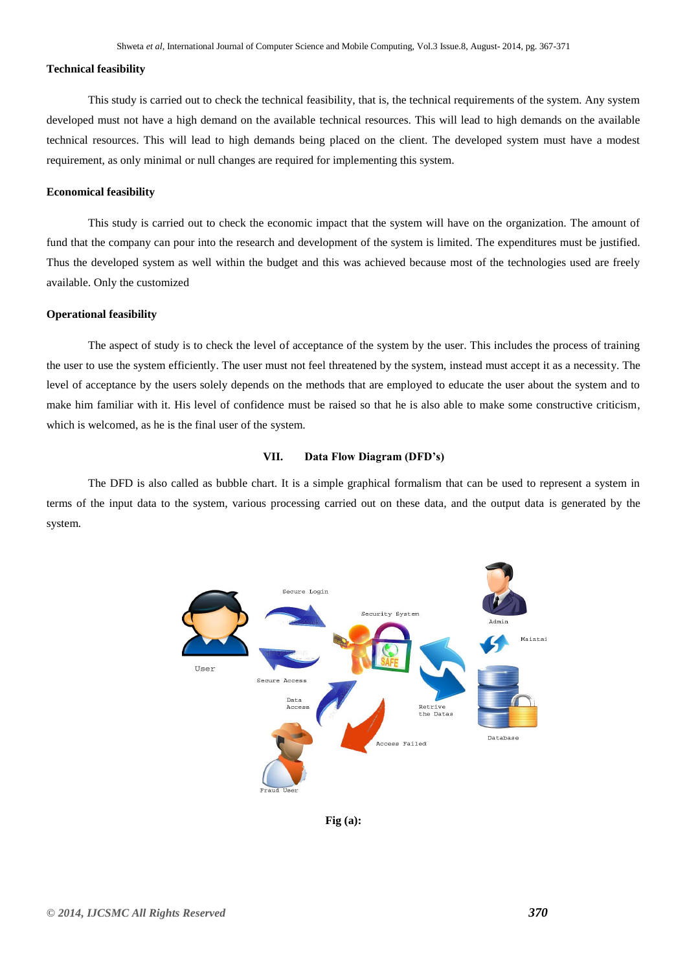#### **Technical feasibility**

This study is carried out to check the technical feasibility, that is, the technical requirements of the system. Any system developed must not have a high demand on the available technical resources. This will lead to high demands on the available technical resources. This will lead to high demands being placed on the client. The developed system must have a modest requirement, as only minimal or null changes are required for implementing this system.

#### **Economical feasibility**

This study is carried out to check the economic impact that the system will have on the organization. The amount of fund that the company can pour into the research and development of the system is limited. The expenditures must be justified. Thus the developed system as well within the budget and this was achieved because most of the technologies used are freely available. Only the customized

#### **Operational feasibility**

The aspect of study is to check the level of acceptance of the system by the user. This includes the process of training the user to use the system efficiently. The user must not feel threatened by the system, instead must accept it as a necessity. The level of acceptance by the users solely depends on the methods that are employed to educate the user about the system and to make him familiar with it. His level of confidence must be raised so that he is also able to make some constructive criticism, which is welcomed, as he is the final user of the system.

#### **VII. Data Flow Diagram (DFD's)**

The DFD is also called as bubble chart. It is a simple graphical formalism that can be used to represent a system in terms of the input data to the system, various processing carried out on these data, and the output data is generated by the system.



**Fig (a):**